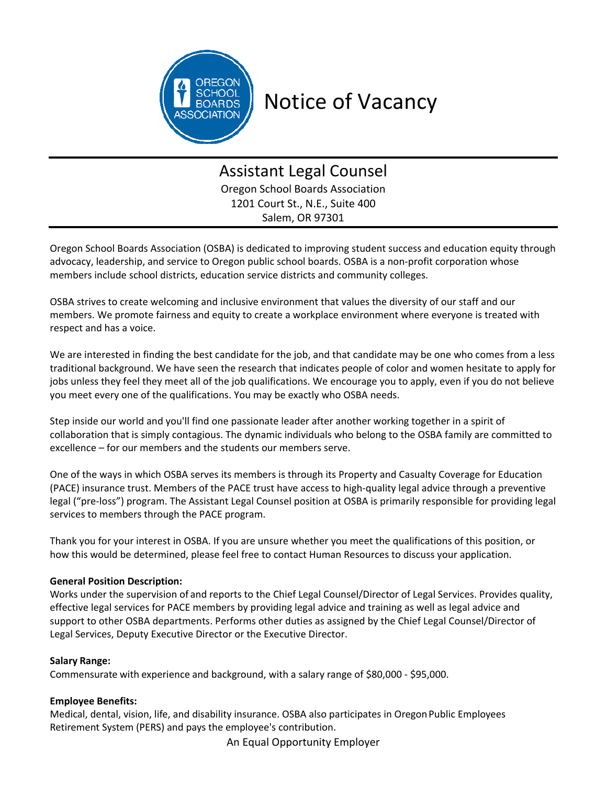

# Notice of Vacancy

# Assistant Legal Counsel Oregon School Boards Association 1201 Court St., N.E., Suite 400

Salem, OR 97301

Oregon School Boards Association (OSBA) is dedicated to improving student success and education equity through advocacy, leadership, and service to Oregon public school boards. OSBA is a non-profit corporation whose members include school districts, education service districts and community colleges.

OSBA strives to create welcoming and inclusive environment that values the diversity of our staff and our members. We promote fairness and equity to create a workplace environment where everyone is treated with respect and has a voice.

We are interested in finding the best candidate for the job, and that candidate may be one who comes from a less traditional background. We have seen the research that indicates people of color and women hesitate to apply for jobs unless they feel they meet all of the job qualifications. We encourage you to apply, even if you do not believe you meet every one of the qualifications. You may be exactly who OSBA needs.

Step inside our world and you'll find one passionate leader after another working together in a spirit of collaboration that is simply contagious. The dynamic individuals who belong to the OSBA family are committed to excellence – for our members and the students our members serve.

One of the ways in which OSBA serves its members is through its Property and Casualty Coverage for Education (PACE) insurance trust. Members of the PACE trust have access to high‐quality legal advice through a preventive legal ("pre‐loss") program. The Assistant Legal Counsel position at OSBA is primarily responsible for providing legal services to members through the PACE program.

Thank you for your interest in OSBA. If you are unsure whether you meet the qualifications of this position, or how this would be determined, please feel free to contact Human Resources to discuss your application.

## **General Position Description:**

Works under the supervision of and reports to the Chief Legal Counsel/Director of Legal Services. Provides quality, effective legal services for PACE members by providing legal advice and training as well as legal advice and support to other OSBA departments. Performs other duties as assigned by the Chief Legal Counsel/Director of Legal Services, Deputy Executive Director or the Executive Director.

## **Salary Range:**

Commensurate with experience and background, with a salary range of \$80,000 ‐ \$95,000.

#### **Employee Benefits:**

Medical, dental, vision, life, and disability insurance. OSBA also participates in Oregon Public Employees Retirement System (PERS) and pays the employee's contribution.

An Equal Opportunity Employer